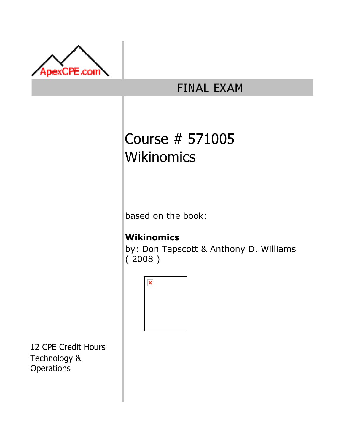

## **FINAL EXAM**

# Course # 571005 **Wikinomics**

based on the book:

### **Wikinomics**

by: Don Tapscott & Anthony D. Williams ( 2008 )



12 CPE Credit Hours Technology & **Operations**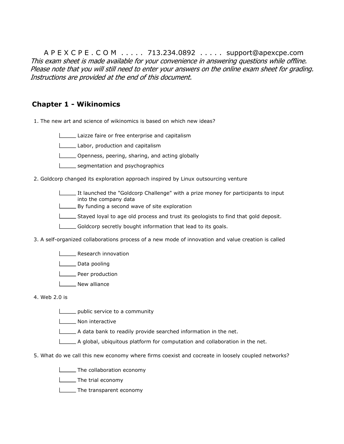A P E X C P E . C O M . . . . . 713.234.0892 . . . . . support@apexcpe.com This exam sheet is made available for your convenience in answering questions while offline. Please note that you will still need to enter your answers on the online exam sheet for grading. Instructions are provided at the end of this document.

#### Chapter 1 - Wikinomics

1. The new art and science of wikinomics is based on which new ideas?

Laizze faire or free enterprise and capitalism

Labor, production and capitalism

**Commeth**, peering, sharing, and acting globally

segmentation and psychographics

2. Goldcorp changed its exploration approach inspired by Linux outsourcing venture

- It launched the "Goldcorp Challenge" with a prize money for participants to input into the company data
- By funding a second wave of site exploration
- $\Box$  Stayed loyal to age old process and trust its geologists to find that gold deposit.
- $\Box$  Goldcorp secretly bought information that lead to its goals.
- 3. A self-organized collaborations process of a new mode of innovation and value creation is called
	- **Research innovation**
	- **Data pooling**
	- **LETT** Peer production
	- **New alliance**

4. Web 2.0 is

- public service to a community
- **Non** interactive
- $\Box$  A data bank to readily provide searched information in the net.
- $\Box$  A global, ubiquitous platform for computation and collaboration in the net.
- 5. What do we call this new economy where firms coexist and cocreate in loosely coupled networks?
	- **The collaboration economy**
	- **The trial economy**
	- **The transparent economy**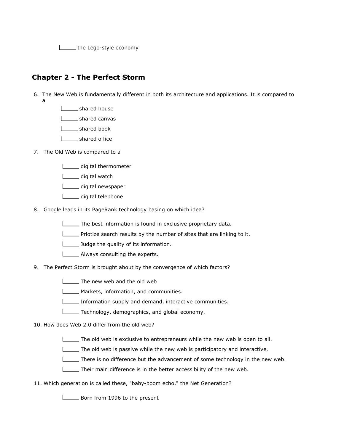**the Lego-style economy** 

#### Chapter 2 - The Perfect Storm

- 6. The New Web is fundamentally different in both its architecture and applications. It is compared to a
	- shared house
	- | \_\_\_\_ shared canvas
	- | \_\_\_\_\_ shared book
	- | \_\_ shared office
- 7. The Old Web is compared to a
	- digital thermometer
	- digital watch
	- digital newspaper
	- digital telephone
- 8. Google leads in its PageRank technology basing on which idea?
	- The best information is found in exclusive proprietary data.
	- Priotize search results by the number of sites that are linking to it.
	- **Judge the quality of its information.**
	- **LETT** Always consulting the experts.
- 9. The Perfect Storm is brought about by the convergence of which factors?
	- The new web and the old web
	- **Markets, information, and communities.**
	- Information supply and demand, interactive communities.
	- Technology, demographics, and global economy.
- 10. How does Web 2.0 differ from the old web?
	- The old web is exclusive to entrepreneurs while the new web is open to all.
	- The old web is passive while the new web is participatory and interactive.
	- There is no difference but the advancement of some technology in the new web.
	- Their main difference is in the better accessibility of the new web.
- 11. Which generation is called these, "baby-boom echo," the Net Generation?

**Born from 1996 to the present**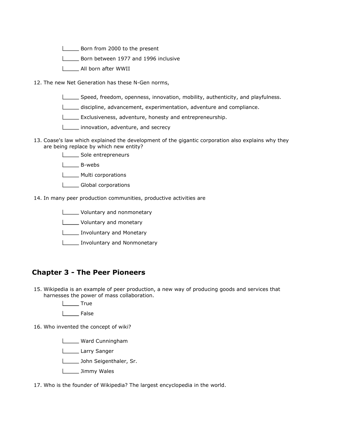**Born from 2000 to the present** 

Born between 1977 and 1996 inclusive

All born after WWII

12. The new Net Generation has these N-Gen norms,

- Speed, freedom, openness, innovation, mobility, authenticity, and playfulness.
- discipline, advancement, experimentation, adventure and compliance.
- **Exclusiveness, adventure, honesty and entrepreneurship.**
- **innovation, adventure, and secrecy**
- 13. Coase's law which explained the development of the gigantic corporation also explains why they are being replace by which new entity?
	- Sole entrepreneurs
	- B-webs
	- Multi corporations
	- Global corporations
- 14. In many peer production communities, productive activities are
	- **Lackson** Voluntary and nonmonetary
	- **Letter** Voluntary and monetary
	- **Involuntary and Monetary**
	- **Involuntary and Nonmonetary**

#### Chapter 3 - The Peer Pioneers

- 15. Wikipedia is an example of peer production, a new way of producing goods and services that harnesses the power of mass collaboration.
	- | True
	- L<sub>\_\_\_\_</sub>False
- 16. Who invented the concept of wiki?
	- **Ward Cunningham**
	- Larry Sanger
	- **Letter** John Seigenthaler, Sr.
	- **Limmy Wales**

17. Who is the founder of Wikipedia? The largest encyclopedia in the world.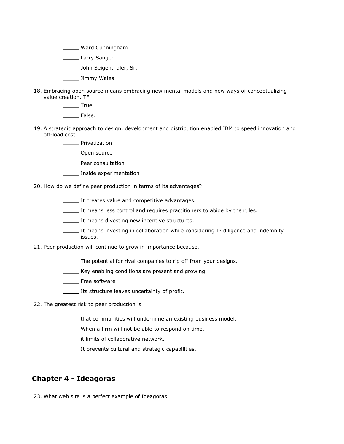**Ward Cunningham** 

L\_\_\_\_\_\_ Larry Sanger

John Seigenthaler, Sr.

**Limmy Wales** 

18. Embracing open source means embracing new mental models and new ways of conceptualizing value creation. TF

L<sub>ta</sub>True. I \_\_ False.

- 19. A strategic approach to design, development and distribution enabled IBM to speed innovation and off-load cost .
	- | Privatization
	- L\_\_\_\_\_\_ Open source
	- **LETT** Peer consultation
	- **Inside experimentation**

20. How do we define peer production in terms of its advantages?

- It creates value and competitive advantages.
- It means less control and requires practitioners to abide by the rules.
- It means divesting new incentive structures.
- It means investing in collaboration while considering IP diligence and indemnity issues.
- 21. Peer production will continue to grow in importance because,
	- The potential for rival companies to rip off from your designs.
	- Key enabling conditions are present and growing.
	- **L\_\_\_\_** Free software
	- **Its structure leaves uncertainty of profit.**
- 22. The greatest risk to peer production is
	- **that communities will undermine an existing business model.**
	- When a firm will not be able to respond on time.
	- **it limits of collaborative network.**
	- It prevents cultural and strategic capabilities.

#### Chapter 4 - Ideagoras

23. What web site is a perfect example of Ideagoras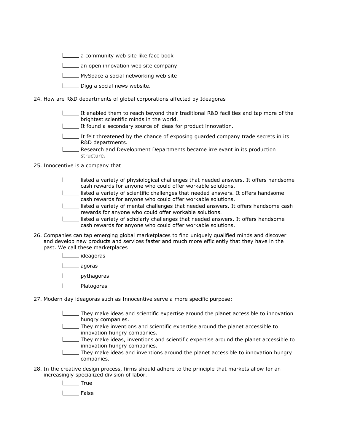**L** a community web site like face book

**LETT** an open innovation web site company

MySpace a social networking web site

**L\_\_\_\_** Digg a social news website.

24. How are R&D departments of global corporations affected by Ideagoras

- It enabled them to reach beyond their traditional R&D facilities and tap more of the brightest scientific minds in the world.
- It found a secondary source of ideas for product innovation.
- It felt threatened by the chance of exposing quarded company trade secrets in its R&D departments.
- Research and Development Departments became irrelevant in its production structure.

25. Innocentive is a company that

- listed a variety of physiological challenges that needed answers. It offers handsome cash rewards for anyone who could offer workable solutions.
- listed a variety of scientific challenges that needed answers. It offers handsome cash rewards for anyone who could offer workable solutions.
- listed a variety of mental challenges that needed answers. It offers handsome cash rewards for anyone who could offer workable solutions.
- listed a variety of scholarly challenges that needed answers. It offers handsome cash rewards for anyone who could offer workable solutions.
- 26. Companies can tap emerging global marketplaces to find uniquely qualified minds and discover and develop new products and services faster and much more efficiently that they have in the past. We call these marketplaces
	- ideagoras

L<sub>agoras</sub>

L<sub>b</sub> pythagoras

- **Latogoras**
- 27. Modern day ideagoras such as Innocentive serve a more specific purpose:
	- They make ideas and scientific expertise around the planet accessible to innovation hungry companies.
	- They make inventions and scientific expertise around the planet accessible to innovation hungry companies.
	- They make ideas, inventions and scientific expertise around the planet accessible to innovation hungry companies.
	- They make ideas and inventions around the planet accessible to innovation hungry companies.
- 28. In the creative design process, firms should adhere to the principle that markets allow for an increasingly specialized division of labor.

L<sub>tu</sub> True

L<sub>False</sub>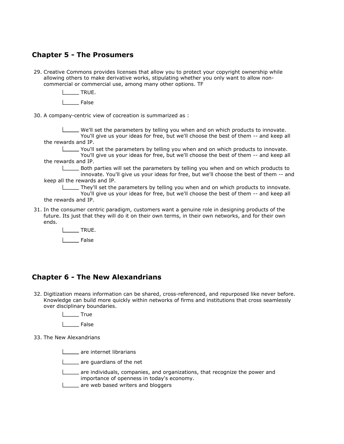#### Chapter 5 - The Prosumers

- 29. Creative Commons provides licenses that allow you to protect your copyright ownership while allowing others to make derivative works, stipulating whether you only want to allow noncommercial or commercial use, among many other options. TF
	- $\_$  TRUE.
	- | False
- 30. A company-centric view of cocreation is summarized as :

We'll set the parameters by telling you when and on which products to innovate. You'll give us your ideas for free, but we'll choose the best of them -- and keep all the rewards and IP.

You'll set the parameters by telling you when and on which products to innovate.

You'll give us your ideas for free, but we'll choose the best of them -- and keep all the rewards and IP.

Both parties will set the parameters by telling you when and on which products to innovate. You'll give us your ideas for free, but we'll choose the best of them -- and keep all the rewards and IP.

They'll set the parameters by telling you when and on which products to innovate. You'll give us your ideas for free, but we'll choose the best of them -- and keep all

- the rewards and IP.
- 31. In the consumer centric paradigm, customers want a genuine role in designing products of the future. Its just that they will do it on their own terms, in their own networks, and for their own ends.
	- L**EWALLE**
	- L<sub>False</sub>

#### Chapter 6 - The New Alexandrians

- 32. Digitization means information can be shared, cross-referenced, and repurposed like never before. Knowledge can build more quickly within networks of firms and institutions that cross seamlessly over disciplinary boundaries.
	- True
	- False
- 33. The New Alexandrians
	- **Letter** are internet librarians
	- **Letter** are quardians of the net
	- are individuals, companies, and organizations, that recognize the power and importance of openness in today's economy.
	- **L** are web based writers and bloggers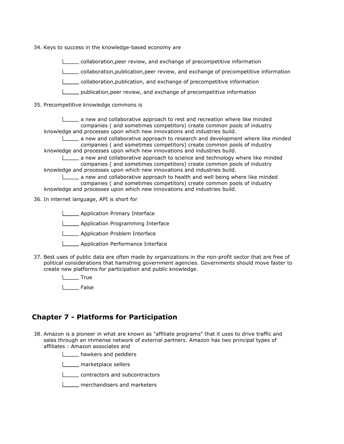- 34. Keys to success in the knowledge-based economy are
	- collaboration, peer review, and exchange of precompetitive information
	- collaboration,publication,peer review, and exchange of precompetitive information
	- collaboration,publication, and exchange of precompetitive information
	- publication,peer review, and exchange of precompetitive information
- 35. Precompetitive knowledge commons is

a new and collaborative approach to rest and recreation where like minded companies ( and sometimes competitors) create common pools of industry knowledge and processes upon which new innovations and industries build.

 $\equiv$  a new and collaborative approach to research and development where like minded companies ( and sometimes competitors) create common pools of industry knowledge and processes upon which new innovations and industries build.

 $\equiv$  a new and collaborative approach to science and technology where like minded companies ( and sometimes competitors) create common pools of industry knowledge and processes upon which new innovations and industries build.

a new and collaborative approach to health and well being where like minded companies ( and sometimes competitors) create common pools of industry knowledge and processes upon which new innovations and industries build.

- 
- 36. In internet language, API is short for

**LETT** Application Primary Interface

**LETT** Application Programming Interface

**LETT** Application Problem Interface

- **LETT** Application Performance Interface
- 37. Best uses of public data are often made by organizations in the non-profit sector that are free of political considerations that hamstring government agencies. Governments should move faster to create new platforms for participation and public knowledge.

**True** 

| False

#### Chapter 7 - Platforms for Participation

- 38. Amazon is a pioneer in what are known as "affiliate programs" that it uses to drive traffic and sales through an immense network of external partners. Amazon has two principal types of affiliates : Amazon associates and
	- **LECO** hawkers and peddlers

**LETTE** marketplace sellers

**LECOLOGITY** contractors and subcontractors

**L\_\_\_\_** merchandisers and marketers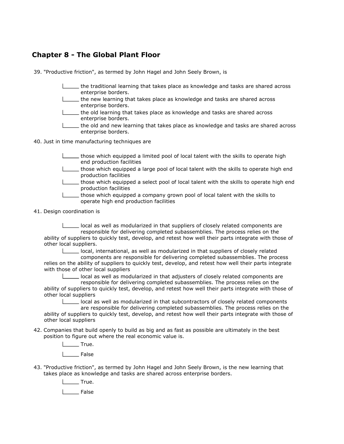#### Chapter 8 - The Global Plant Floor

39. "Productive friction", as termed by John Hagel and John Seely Brown, is

- the traditional learning that takes place as knowledge and tasks are shared across enterprise borders.
- the new learning that takes place as knowledge and tasks are shared across enterprise borders.
- the old learning that takes place as knowledge and tasks are shared across enterprise borders.
- the old and new learning that takes place as knowledge and tasks are shared across enterprise borders.

40. Just in time manufacturing techniques are

- those which equipped a limited pool of local talent with the skills to operate high end production facilities
- those which equipped a large pool of local talent with the skills to operate high end production facilities
- those which equipped a select pool of local talent with the skills to operate high end production facilities
- those which equipped a company grown pool of local talent with the skills to operate high end production facilities
- 41. Design coordination is

local as well as modularized in that suppliers of closely related components are responsible for delivering completed subassemblies. The process relies on the ability of suppliers to quickly test, develop, and retest how well their parts integrate with those of other local suppliers.

local, international, as well as modularized in that suppliers of closely related

components are responsible for delivering completed subassemblies. The process relies on the ability of suppliers to quickly test, develop, and retest how well their parts integrate with those of other local suppliers

local as well as modularized in that adjusters of closely related components are responsible for delivering completed subassemblies. The process relies on the ability of suppliers to quickly test, develop, and retest how well their parts integrate with those of other local suppliers

local as well as modularized in that subcontractors of closely related components are responsible for delivering completed subassemblies. The process relies on the ability of suppliers to quickly test, develop, and retest how well their parts integrate with those of other local suppliers

42. Companies that build openly to build as big and as fast as possible are ultimately in the best position to figure out where the real economic value is.

> $\Box$ True. L<sub>\_\_\_</sub>False

43. "Productive friction", as termed by John Hagel and John Seely Brown, is the new learning that takes place as knowledge and tasks are shared across enterprise borders.

L<sub>L</sub>True.

**Liste** False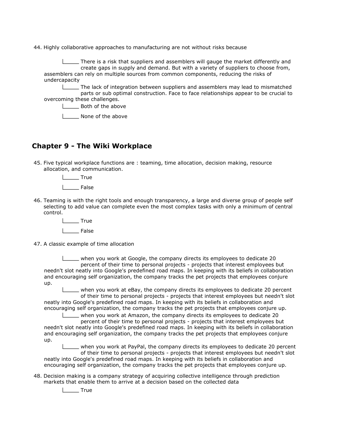44. Highly collaborative approaches to manufacturing are not without risks because

There is a risk that suppliers and assemblers will gauge the market differently and create gaps in supply and demand. But with a variety of suppliers to choose from, assemblers can rely on multiple sources from common components, reducing the risks of undercapacity

The lack of integration between suppliers and assemblers may lead to mismatched parts or sub optimal construction. Face to face relationships appear to be crucial to overcoming these challenges.

Both of the above

**None of the above** 

#### Chapter 9 - The Wiki Workplace

45. Five typical workplace functions are : teaming, time allocation, decision making, resource allocation, and communication.

True

l False

46. Teaming is with the right tools and enough transparency, a large and diverse group of people self selecting to add value can complete even the most complex tasks with only a minimum of central control.

True

I \_\_\_ False

47. A classic example of time allocation

when you work at Google, the company directs its employees to dedicate 20 percent of their time to personal projects - projects that interest employees but needn't slot neatly into Google's predefined road maps. In keeping with its beliefs in collaboration and encouraging self organization, the company tracks the pet projects that employees conjure up.

when you work at eBay, the company directs its employees to dedicate 20 percent of their time to personal projects - projects that interest employees but needn't slot neatly into Google's predefined road maps. In keeping with its beliefs in collaboration and encouraging self organization, the company tracks the pet projects that employees conjure up.

when you work at Amazon, the company directs its employees to dedicate 20 percent of their time to personal projects - projects that interest employees but needn't slot neatly into Google's predefined road maps. In keeping with its beliefs in collaboration and encouraging self organization, the company tracks the pet projects that employees conjure up.

when you work at PayPal, the company directs its employees to dedicate 20 percent of their time to personal projects - projects that interest employees but needn't slot neatly into Google's predefined road maps. In keeping with its beliefs in collaboration and encouraging self organization, the company tracks the pet projects that employees conjure up.

48. Decision making is a company strategy of acquiring collective intelligence through prediction markets that enable them to arrive at a decision based on the collected data

 $\Box$ True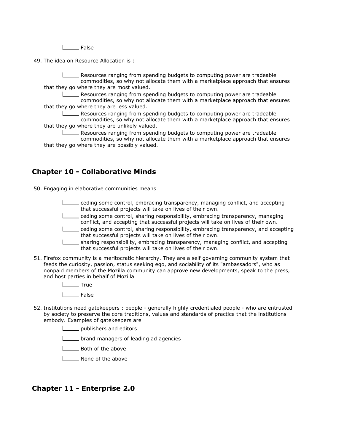False

49. The idea on Resource Allocation is :

Resources ranging from spending budgets to computing power are tradeable commodities, so why not allocate them with a marketplace approach that ensures that they go where they are most valued.

Resources ranging from spending budgets to computing power are tradeable commodities, so why not allocate them with a marketplace approach that ensures that they go where they are less valued.

Resources ranging from spending budgets to computing power are tradeable commodities, so why not allocate them with a marketplace approach that ensures that they go where they are unlikely valued.

**Resources ranging from spending budgets to computing power are tradeable** commodities, so why not allocate them with a marketplace approach that ensures that they go where they are possibly valued.

#### Chapter 10 - Collaborative Minds

50. Engaging in elaborative communities means

- ceding some control, embracing transparency, managing conflict, and accepting that successful projects will take on lives of their own.
- ceding some control, sharing responsibility, embracing transparency, managing conflict, and accepting that successful projects will take on lives of their own.
- ceding some control, sharing responsibility, embracing transparency, and accepting that successful projects will take on lives of their own.
- sharing responsibility, embracing transparency, managing conflict, and accepting
- that successful projects will take on lives of their own.
- 51. Firefox community is a meritocratic hierarchy. They are a self governing community system that feeds the curiosity, passion, status seeking ego, and sociability of its "ambassadors", who as nonpaid members of the Mozilla community can approve new developments, speak to the press, and host parties in behalf of Mozilla
	- True
	- $I_{\text{}}$  False
- 52. Institutions need gatekeepers : people generally highly credentialed people who are entrusted by society to preserve the core traditions, values and standards of practice that the institutions embody. Examples of gatekeepers are
	- publishers and editors
	- **Letter** brand managers of leading ad agencies
	- **LETT** Both of the above
	- None of the above

#### Chapter 11 - Enterprise 2.0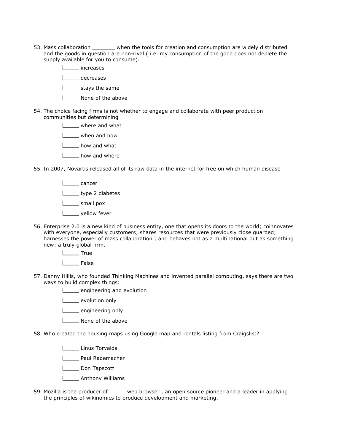- 53. Mass collaboration \_\_\_\_\_\_\_ when the tools for creation and consumption are widely distributed and the goods in question are non-rival ( i.e. my consumption of the good does not deplete the supply available for you to consume).
	- increases
	- decreases
	- stays the same
	- I \_\_\_\_\_ None of the above
- 54. The choice facing firms is not whether to engage and collaborate with peer production communities but determining
	- where and what
	- when and how
	- **L** how and what
	- 1 \_\_ how and where
- 55. In 2007, Novartis released all of its raw data in the internet for free on which human disease
	- L<sub>cancer</sub>
	- type 2 diabetes
	- **Looper** small pox
	- **Loopey** yellow fever
- 56. Enterprise 2.0 is a new kind of business entity, one that opens its doors to the world; coinnovates with everyone, especially customers; shares resources that were previously close guarded; harnesses the power of mass collaboration ; and behaves not as a multinational but as something new: a truly global firm.
	- **Lacks** True
	- | False
- 57. Danny Hillis, who founded Thinking Machines and invented parallel computing, says there are two ways to build complex things:
	- **L** engineering and evolution
	- **LECCC** evolution only
	- **Loopen** engineering only
	- **None of the above**
- 58. Who created the housing maps using Google map and rentals listing from Craigslist?
	- Linus Torvalds
	- **Lackson** Paul Rademacher
	- **Lieff** Don Tapscott
	- **LETT** Anthony Williams
- 59. Mozilla is the producer of \_\_\_\_\_ web browser , an open source pioneer and a leader in applying the principles of wikinomics to produce development and marketing.